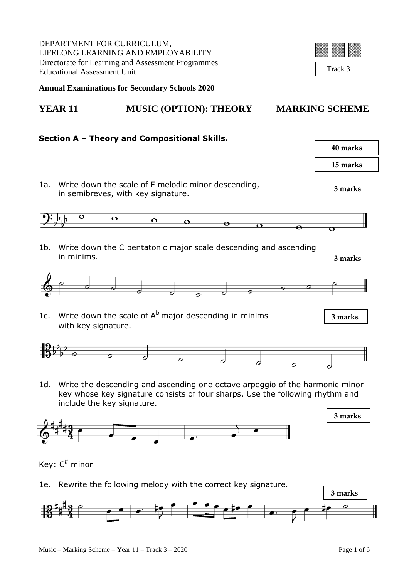DEPARTMENT FOR CURRICULUM, LIFELONG LEARNING AND EMPLOYABILITY Directorate for Learning and Assessment Programmes Educational Assessment Unit



Track 3

**Annual Examinations for Secondary Schools 2020**

### **YEAR 11 MUSIC (OPTION): THEORY MARKING SCHEME**

## **Section A – Theory and Compositional Skills. 40 marks 15 marks** 1a. Write down the scale of F melodic minor descending, **3 marks** in semibreves, with key signature.  $\sigma$  $\overline{\mathbf{e}}$  $\overline{\mathbf{C}}$  $\overline{\mathbf{e}}$  $\overline{\mathbf{C}}$ 1b. Write down the C pentatonic major scale descending and ascending in minims. **3 marks** 1c. Write down the scale of  $A^b$  major descending in minims **3 marks** with key signature. 1d. Write the descending and ascending one octave arpeggio of the harmonic minor key whose key signature consists of four sharps. Use the following rhythm and include the key signature. **3 marks**



1e. Rewrite the following melody with the correct key signature**.**

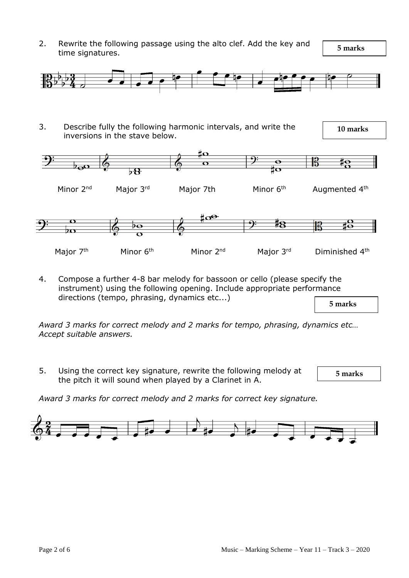2. Rewrite the following passage using the alto clef. Add the key and time signatures.

 **5 marks**



3. Describe fully the following harmonic intervals, and write the inversions in the stave below.

 **10 marks**





4. Compose a further 4-8 bar melody for bassoon or cello (please specify the instrument) using the following opening. Include appropriate performance directions (tempo, phrasing, dynamics etc...)

 **5 marks**

*Award 3 marks for correct melody and 2 marks for tempo, phrasing, dynamics etc… Accept suitable answers.*

5. Using the correct key signature, rewrite the following melody at the pitch it will sound when played by a Clarinet in A.

 **5 marks**

*Award 3 marks for correct melody and 2 marks for correct key signature.*

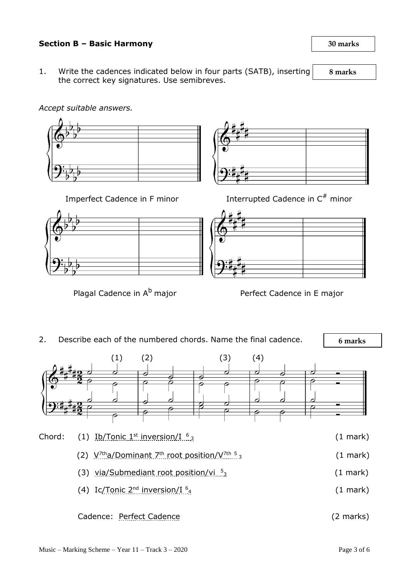#### **Section B – Basic Harmony 30 marks**

1. Write the cadences indicated below in four parts (SATB), inserting the correct key signatures. Use semibreves.

#### *Accept suitable answers.*



Imperfect Cadence in F minor



# Interrupted Cadence in  $C^*$  minor





 **6 marks** 2. Describe each of the numbered chords. Name the final cadence.  $(1)$   $(2)$   $(3)$   $(4)$ Chord: (1) Ib/Tonic  $1<sup>st</sup>$  inversion/I  $<sup>6</sup>$ <sub>3</sub> (1 mark)</sup> (2) V<sup>7th</sup>a/Dominant 7<sup>th</sup> root position/V<sup>7th 5</sup>  $(1$  mark) (3) via/Submediant root position/vi 5  $(1$  mark $)$ (4) Ic/Tonic  $2<sup>nd</sup>$  inversion/I $<sup>6</sup>$ <sub>4</sub></sup>  $(1$  mark $)$ Cadence: Perfect Cadence (2 marks)

 **8 marks**

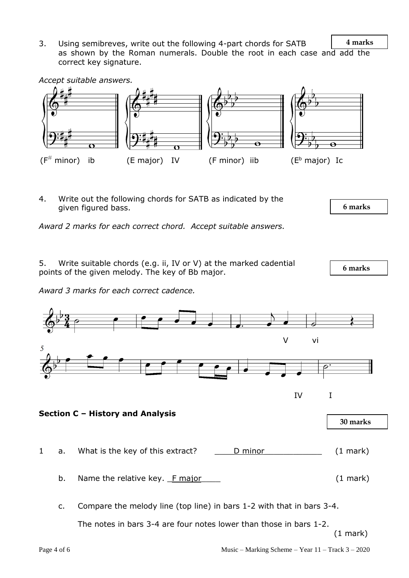**4 marks** 3. Using semibreves, write out the following 4-part chords for SATB as shown by the Roman numerals. Double the root in each case and add the correct key signature.



4. Write out the following chords for SATB as indicated by the given figured bass.

*Award 2 marks for each correct chord. Accept suitable answers.*

5. Write suitable chords (e.g. ii, IV or V) at the marked cadential points of the given melody. The key of Bb major.

*Award 3 marks for each correct cadence.*



c. Compare the melody line (top line) in bars 1-2 with that in bars 3-4.

The notes in bars 3-4 are four notes lower than those in bars 1-2.

(1 mark)

 **6 marks**

 **6 marks**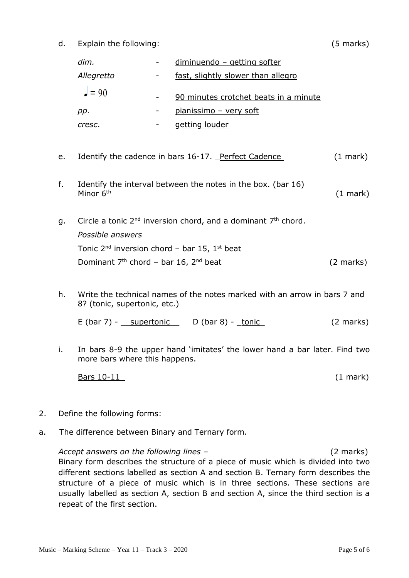d. Explain the following: (5 marks)

| dim.       | $\sim$ 100 $\mu$ | diminuendo - getting softer           |
|------------|------------------|---------------------------------------|
| Allegretto | $\sim$           | fast, slightly slower than allegro    |
| $= 90$     |                  | 90 minutes crotchet beats in a minute |
| pp.        |                  | pianissimo - very soft                |
| cresc.     |                  | getting louder                        |
|            |                  |                                       |

- e. Identify the cadence in bars 16-17. Perfect Cadence (1 mark)
- f. Identify the interval between the notes in the box. (bar 16) Minor  $6<sup>th</sup>$  (1 mark)
- g. Circle a tonic  $2^{nd}$  inversion chord, and a dominant  $7<sup>th</sup>$  chord. *Possible answers* Tonic  $2^{nd}$  inversion chord – bar 15, 1<sup>st</sup> beat Dominant  $7<sup>th</sup>$  chord – bar 16,  $2<sup>nd</sup>$  beat (2 marks)
- h. Write the technical names of the notes marked with an arrow in bars 7 and 8? (tonic, supertonic, etc.)

E  $(bar 7) -$  supertonic  $D (bar 8) -$  tonic  $(2 \text{ marks})$ 

i. In bars 8-9 the upper hand 'imitates' the lower hand a bar later. Find two more bars where this happens.

Bars 10-11 (1 mark)

- 
- 2. Define the following forms:
- a. The difference between Binary and Ternary form*.*

*Accept answers on the following lines –* (2 marks) Binary form describes the structure of a piece of music which is divided into two different sections labelled as section A and section B. Ternary form describes the structure of a piece of music which is in three sections. These sections are usually labelled as section A, section B and section A, since the third section is a repeat of the first section.